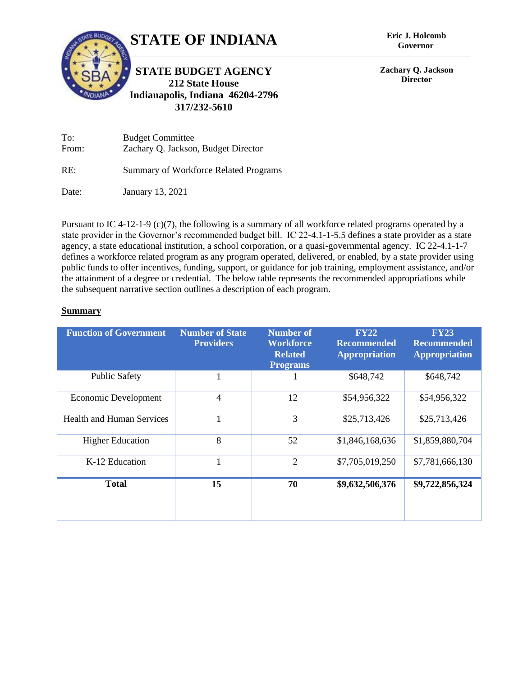

**Governor**

**Zachary Q. Jackson Director**

To: Budget Committee From: Zachary Q. Jackson, Budget Director

RE: Summary of Workforce Related Programs

**317/232-5610**

Date: January 13, 2021

Pursuant to IC 4-12-1-9 (c)(7), the following is a summary of all workforce related programs operated by a state provider in the Governor's recommended budget bill. IC 22-4.1-1-5.5 defines a state provider as a state agency, a state educational institution, a school corporation, or a quasi-governmental agency. IC 22-4.1-1-7 defines a workforce related program as any program operated, delivered, or enabled, by a state provider using public funds to offer incentives, funding, support, or guidance for job training, employment assistance, and/or the attainment of a degree or credential. The below table represents the recommended appropriations while the subsequent narrative section outlines a description of each program.

## **Summary**

| <b>Function of Government</b>    | <b>Number of State</b><br><b>Providers</b> | Number of<br>Workforce<br><b>Related</b><br><b>Programs</b> | <b>FY22</b><br><b>Recommended</b><br><b>Appropriation</b> | <b>FY23</b><br><b>Recommended</b><br><b>Appropriation</b> |
|----------------------------------|--------------------------------------------|-------------------------------------------------------------|-----------------------------------------------------------|-----------------------------------------------------------|
| <b>Public Safety</b>             | 1                                          |                                                             | \$648,742                                                 | \$648,742                                                 |
| <b>Economic Development</b>      | 4                                          | 12                                                          | \$54,956,322                                              | \$54,956,322                                              |
| <b>Health and Human Services</b> |                                            | 3                                                           | \$25,713,426                                              | \$25,713,426                                              |
| <b>Higher Education</b>          | 8                                          | 52                                                          | \$1,846,168,636                                           | \$1,859,880,704                                           |
| K-12 Education                   | $\mathbf{1}$                               | $\overline{2}$                                              | \$7,705,019,250                                           | \$7,781,666,130                                           |
| <b>Total</b>                     | 15                                         | 70                                                          | \$9,632,506,376                                           | \$9,722,856,324                                           |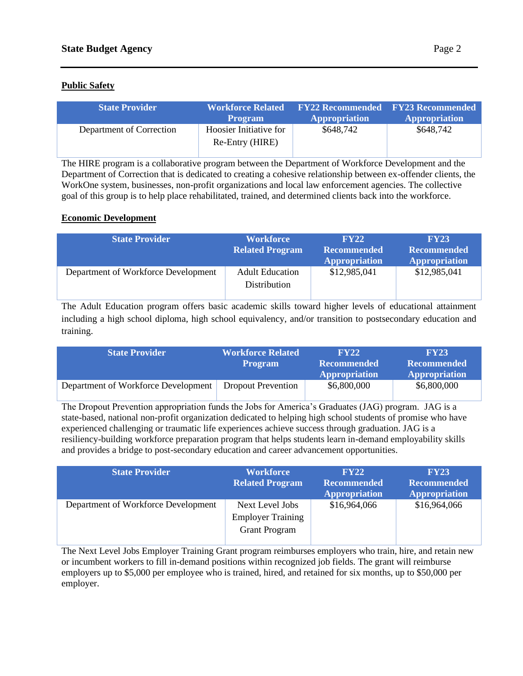## **Public Safety**

| <b>State Provider</b>    | Workforce Related<br><b>Program</b>       | <b>Appropriation</b> | <b>FY22 Recommended FY23 Recommended</b><br><b>Appropriation</b> |
|--------------------------|-------------------------------------------|----------------------|------------------------------------------------------------------|
| Department of Correction | Hoosier Initiative for<br>Re-Entry (HIRE) | \$648,742            | \$648,742                                                        |

The HIRE program is a collaborative program between the Department of Workforce Development and the Department of Correction that is dedicated to creating a cohesive relationship between ex-offender clients, the WorkOne system, businesses, non-profit organizations and local law enforcement agencies. The collective goal of this group is to help place rehabilitated, trained, and determined clients back into the workforce.

# **Economic Development**

| <b>State Provider</b>               | <b>Workforce</b><br><b>Related Program</b> | FY22<br><b>Recommended</b><br><b>Appropriation</b> | <b>FY23</b><br><b>Recommended</b><br><b>Appropriation</b> |
|-------------------------------------|--------------------------------------------|----------------------------------------------------|-----------------------------------------------------------|
| Department of Workforce Development | <b>Adult Education</b><br>Distribution     | \$12,985,041                                       | \$12,985,041                                              |

The Adult Education program offers basic academic skills toward higher levels of educational attainment including a high school diploma, high school equivalency, and/or transition to postsecondary education and training.

| <b>State Provider</b>               | <b>Workforce Related</b><br><b>Program</b> | <b>FY22</b><br><b>Recommended</b> | <b>FY23</b><br><b>Recommended</b> |
|-------------------------------------|--------------------------------------------|-----------------------------------|-----------------------------------|
|                                     |                                            | <b>Appropriation</b>              | <b>Appropriation</b>              |
| Department of Workforce Development | <b>Dropout Prevention</b>                  | \$6,800,000                       | \$6,800,000                       |

The Dropout Prevention appropriation funds the Jobs for America's Graduates (JAG) program. JAG is a state-based, national non-profit organization dedicated to helping high school students of promise who have experienced challenging or traumatic life experiences achieve success through graduation. JAG is a resiliency-building workforce preparation program that helps students learn in-demand employability skills and provides a bridge to post-secondary education and career advancement opportunities.

| <b>State Provider</b>               | <b>Workforce</b><br><b>Related Program</b>                          | FY22<br><b>Recommended</b><br><b>Appropriation</b> | <b>FY23</b><br><b>Recommended</b><br><b>Appropriation</b> |
|-------------------------------------|---------------------------------------------------------------------|----------------------------------------------------|-----------------------------------------------------------|
| Department of Workforce Development | Next Level Jobs<br><b>Employer Training</b><br><b>Grant Program</b> | \$16,964,066                                       | \$16,964,066                                              |

The Next Level Jobs Employer Training Grant program reimburses employers who train, hire, and retain new or incumbent workers to fill in-demand positions within recognized job fields. The grant will reimburse employers up to \$5,000 per employee who is trained, hired, and retained for six months, up to \$50,000 per employer.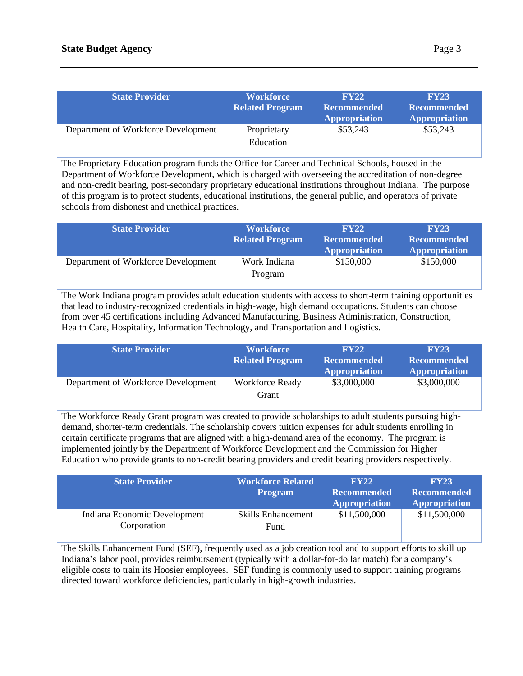| <b>State Provider</b>               | <b>Workforce</b><br><b>Related Program</b> | FY22<br><b>Recommended</b><br><b>Appropriation</b> | <b>FY23</b><br><b>Recommended</b><br><b>Appropriation</b> |
|-------------------------------------|--------------------------------------------|----------------------------------------------------|-----------------------------------------------------------|
| Department of Workforce Development | Proprietary<br>Education                   | \$53,243                                           | \$53,243                                                  |

The Proprietary Education program funds the Office for Career and Technical Schools, housed in the Department of Workforce Development, which is charged with overseeing the accreditation of non-degree and non-credit bearing, post-secondary proprietary educational institutions throughout Indiana. The purpose of this program is to protect students, educational institutions, the general public, and operators of private schools from dishonest and unethical practices.

| <b>State Provider</b>               | <b>Workforce</b><br><b>Related Program</b> | FY22<br><b>Recommended</b><br><b>Appropriation</b> | <b>FY23</b><br><b>Recommended</b><br><b>Appropriation</b> |
|-------------------------------------|--------------------------------------------|----------------------------------------------------|-----------------------------------------------------------|
| Department of Workforce Development | Work Indiana<br>Program                    | \$150,000                                          | \$150,000                                                 |

The Work Indiana program provides adult education students with access to short-term training opportunities that lead to industry-recognized credentials in high-wage, high demand occupations. Students can choose from over 45 certifications including Advanced Manufacturing, Business Administration, Construction, Health Care, Hospitality, Information Technology, and Transportation and Logistics.

| <b>State Provider</b>               | <b>Workforce</b><br><b>Related Program</b> | FY22<br><b>Recommended</b><br><b>Appropriation</b> | <b>FY23</b><br><b>Recommended</b><br><b>Appropriation</b> |
|-------------------------------------|--------------------------------------------|----------------------------------------------------|-----------------------------------------------------------|
| Department of Workforce Development | <b>Workforce Ready</b><br>Grant            | \$3,000,000                                        | \$3,000,000                                               |

The Workforce Ready Grant program was created to provide scholarships to adult students pursuing highdemand, shorter-term credentials. The scholarship covers tuition expenses for adult students enrolling in certain certificate programs that are aligned with a high-demand area of the economy. The program is implemented jointly by the Department of Workforce Development and the Commission for Higher Education who provide grants to non-credit bearing providers and credit bearing providers respectively.

| <b>State Provider</b>                       | <b>Workforce Related</b><br><b>Program</b> | FY22<br><b>Recommended</b><br><b>Appropriation</b> | <b>FY23</b><br><b>Recommended</b><br><b>Appropriation</b> |
|---------------------------------------------|--------------------------------------------|----------------------------------------------------|-----------------------------------------------------------|
| Indiana Economic Development<br>Corporation | <b>Skills Enhancement</b><br>Fund          | \$11,500,000                                       | \$11,500,000                                              |

The Skills Enhancement Fund (SEF), frequently used as a job creation tool and to support efforts to skill up Indiana's labor pool, provides reimbursement (typically with a dollar-for-dollar match) for a company's eligible costs to train its Hoosier employees. SEF funding is commonly used to support training programs directed toward workforce deficiencies, particularly in high-growth industries.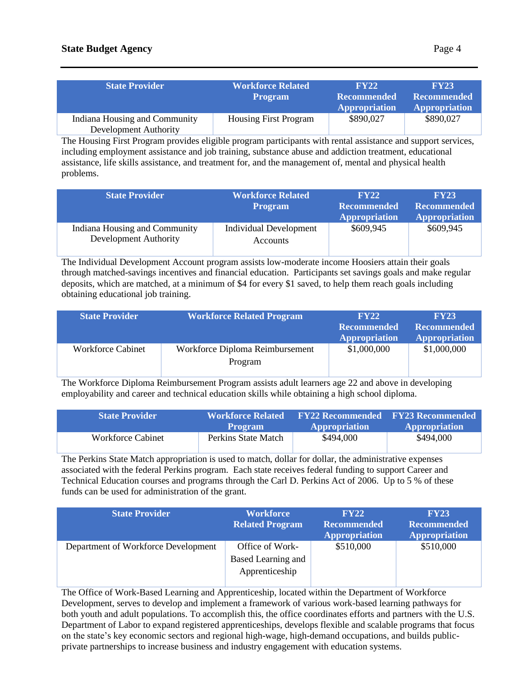| <b>State Provider</b>                                  | <b>Workforce Related</b><br><b>Program</b> | $\bf FV22$<br><b>Recommended</b><br><b>Appropriation</b> | FY23<br><b>Recommended</b><br><b>Appropriation</b> |
|--------------------------------------------------------|--------------------------------------------|----------------------------------------------------------|----------------------------------------------------|
| Indiana Housing and Community<br>Development Authority | <b>Housing First Program</b>               | \$890,027                                                | \$890,027                                          |

The Housing First Program provides eligible program participants with rental assistance and support services, including employment assistance and job training, substance abuse and addiction treatment, educational assistance, life skills assistance, and treatment for, and the management of, mental and physical health problems.

| <b>State Provider</b>                                  | <b>Workforce Related</b><br><b>Program</b>       | FY22<br><b>Recommended</b><br><b>Appropriation</b> | <b>FY23</b><br><b>Recommended</b><br><b>Appropriation</b> |
|--------------------------------------------------------|--------------------------------------------------|----------------------------------------------------|-----------------------------------------------------------|
| Indiana Housing and Community<br>Development Authority | <b>Individual Development</b><br><b>Accounts</b> | \$609,945                                          | \$609,945                                                 |

The Individual Development Account program assists low-moderate income Hoosiers attain their goals through matched-savings incentives and financial education. Participants set savings goals and make regular deposits, which are matched, at a minimum of \$4 for every \$1 saved, to help them reach goals including obtaining educational job training.

| <b>State Provider</b>    | Workforce Related Program                  | FY22<br><b>Recommended</b><br><b>Appropriation</b> | <b>FY23</b><br><b>Recommended</b><br><b>Appropriation</b> |
|--------------------------|--------------------------------------------|----------------------------------------------------|-----------------------------------------------------------|
| <b>Workforce Cabinet</b> | Workforce Diploma Reimbursement<br>Program | \$1,000,000                                        | \$1,000,000                                               |

The Workforce Diploma Reimbursement Program assists adult learners age 22 and above in developing employability and career and technical education skills while obtaining a high school diploma.

| <b>State Provider</b>    | <b>Workforce Related</b><br><b>Program</b> | <b>FY22 Recommended</b> FY23 Recommended<br><b>Appropriation</b> | <b>Appropriation</b> |
|--------------------------|--------------------------------------------|------------------------------------------------------------------|----------------------|
| <b>Workforce Cabinet</b> | Perkins State Match                        | \$494,000                                                        | \$494,000            |

The Perkins State Match appropriation is used to match, dollar for dollar, the administrative expenses associated with the federal Perkins program. Each state receives federal funding to support Career and Technical Education courses and programs through the Carl D. Perkins Act of 2006. Up to 5 % of these funds can be used for administration of the grant.

| <b>State Provider</b>               | <b>Workforce</b><br><b>Related Program</b>              | FY22<br><b>Recommended</b><br><b>Appropriation</b> | <b>FY23</b><br><b>Recommended</b><br><b>Appropriation</b> |
|-------------------------------------|---------------------------------------------------------|----------------------------------------------------|-----------------------------------------------------------|
| Department of Workforce Development | Office of Work-<br>Based Learning and<br>Apprenticeship | \$510,000                                          | \$510,000                                                 |

The Office of Work-Based Learning and Apprenticeship, located within the Department of Workforce Development, serves to develop and implement a framework of various work-based learning pathways for both youth and adult populations. To accomplish this, the office coordinates efforts and partners with the U.S. Department of Labor to expand registered apprenticeships, develops flexible and scalable programs that focus on the state's key economic sectors and regional high-wage, high-demand occupations, and builds publicprivate partnerships to increase business and industry engagement with education systems.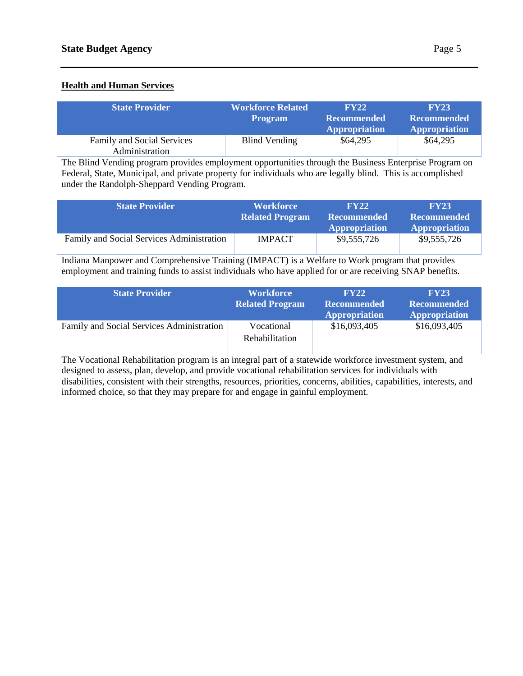# **Health and Human Services**

| <b>State Provider</b>                               | <b>Workforce Related</b><br><b>Program</b> | FY22<br><b>Recommended</b><br><b>Appropriation</b> | <b>FY23</b><br><b>Recommended</b><br><b>Appropriation</b> |
|-----------------------------------------------------|--------------------------------------------|----------------------------------------------------|-----------------------------------------------------------|
| <b>Family and Social Services</b><br>Administration | Blind Vending                              | \$64,295                                           | \$64,295                                                  |

The Blind Vending program provides employment opportunities through the Business Enterprise Program on Federal, State, Municipal, and private property for individuals who are legally blind. This is accomplished under the Randolph-Sheppard Vending Program.

| <b>State Provider</b>                     | <b>Workforce</b><br><b>Related Program</b> | $\bf FV22$<br><b>Recommended</b><br><b>Appropriation</b> | <b>FY23</b><br><b>Recommended</b><br><b>Appropriation</b> |
|-------------------------------------------|--------------------------------------------|----------------------------------------------------------|-----------------------------------------------------------|
| Family and Social Services Administration | <b>IMPACT</b>                              | \$9,555,726                                              | \$9,555,726                                               |

Indiana Manpower and Comprehensive Training (IMPACT) is a Welfare to Work program that provides employment and training funds to assist individuals who have applied for or are receiving SNAP benefits.

| <b>State Provider</b>                     | <b>Workforce</b><br><b>Related Program</b> | <b>FY22</b><br><b>Recommended</b><br><b>Appropriation</b> | <b>FY23</b><br><b>Recommended</b><br><b>Appropriation</b> |
|-------------------------------------------|--------------------------------------------|-----------------------------------------------------------|-----------------------------------------------------------|
| Family and Social Services Administration | Vocational<br>Rehabilitation               | \$16,093,405                                              | \$16,093,405                                              |

The Vocational Rehabilitation program is an integral part of a statewide workforce investment system, and designed to assess, plan, develop, and provide vocational rehabilitation services for individuals with disabilities, consistent with their strengths, resources, priorities, concerns, abilities, capabilities, interests, and informed choice, so that they may prepare for and engage in gainful employment.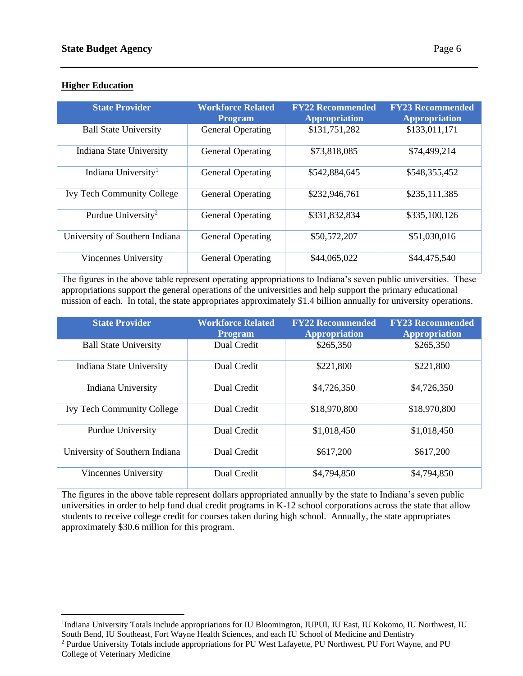## **Higher Education**

| <b>State Provider</b>             | <b>Workforce Related</b><br><b>Program</b> | <b>FY22 Recommended</b><br><b>Appropriation</b> | <b>FY23 Recommended</b><br><b>Appropriation</b> |
|-----------------------------------|--------------------------------------------|-------------------------------------------------|-------------------------------------------------|
| <b>Ball State University</b>      | <b>General Operating</b>                   | \$131,751,282                                   | \$133,011,171                                   |
| <b>Indiana State University</b>   | <b>General Operating</b>                   | \$73,818,085                                    | \$74,499,214                                    |
| Indiana University <sup>1</sup>   | <b>General Operating</b>                   | \$542,884,645                                   | \$548,355,452                                   |
| <b>Ivy Tech Community College</b> | <b>General Operating</b>                   | \$232,946,761                                   | \$235,111,385                                   |
| Purdue University <sup>2</sup>    | <b>General Operating</b>                   | \$331,832,834                                   | \$335,100,126                                   |
| University of Southern Indiana    | <b>General Operating</b>                   | \$50,572,207                                    | \$51,030,016                                    |
| Vincennes University              | <b>General Operating</b>                   | \$44,065,022                                    | \$44,475,540                                    |

The figures in the above table represent operating appropriations to Indiana's seven public universities. These appropriations support the general operations of the universities and help support the primary educational mission of each. In total, the state appropriates approximately \$1.4 billion annually for university operations.

| <b>State Provider</b>             | <b>Workforce Related</b><br><b>Program</b> | <b>FY22 Recommended</b><br><b>Appropriation</b> | <b>FY23 Recommended</b><br><b>Appropriation</b> |
|-----------------------------------|--------------------------------------------|-------------------------------------------------|-------------------------------------------------|
| <b>Ball State University</b>      | Dual Credit                                | \$265,350                                       | \$265,350                                       |
| Indiana State University          | Dual Credit                                | \$221,800                                       | \$221,800                                       |
| Indiana University                | Dual Credit                                | \$4,726,350                                     | \$4,726,350                                     |
| <b>Ivy Tech Community College</b> | Dual Credit                                | \$18,970,800                                    | \$18,970,800                                    |
| Purdue University                 | Dual Credit                                | \$1,018,450                                     | \$1,018,450                                     |
| University of Southern Indiana    | Dual Credit                                | \$617,200                                       | \$617,200                                       |
| Vincennes University              | Dual Credit                                | \$4,794,850                                     | \$4,794,850                                     |

The figures in the above table represent dollars appropriated annually by the state to Indiana's seven public universities in order to help fund dual credit programs in K-12 school corporations across the state that allow students to receive college credit for courses taken during high school. Annually, the state appropriates approximately \$30.6 million for this program.

<sup>&</sup>lt;sup>1</sup>Indiana University Totals include appropriations for IU Bloomington, IUPUI, IU East, IU Kokomo, IU Northwest, IU South Bend, IU Southeast, Fort Wayne Health Sciences, and each IU School of Medicine and Dentistry

<sup>2</sup> Purdue University Totals include appropriations for PU West Lafayette, PU Northwest, PU Fort Wayne, and PU College of Veterinary Medicine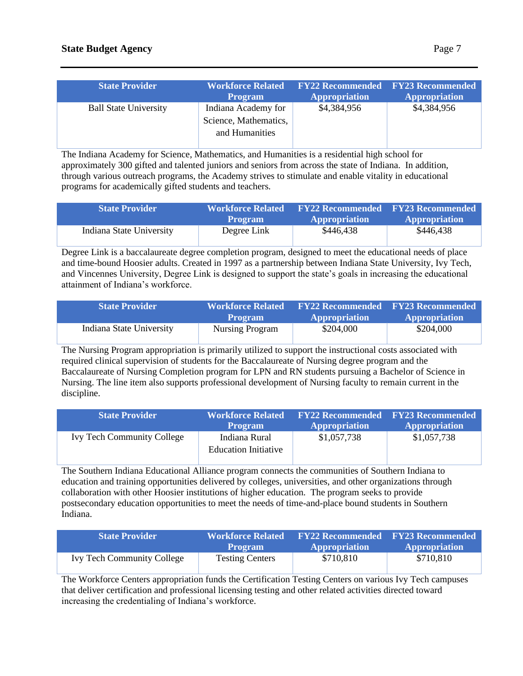| <b>State Provider</b>        | <b>Workforce Related</b><br><b>Program</b> | <b>EY22 Recommended EY23 Recommended</b><br><b>Appropriation</b> | <b>Appropriation</b> |
|------------------------------|--------------------------------------------|------------------------------------------------------------------|----------------------|
| <b>Ball State University</b> | Indiana Academy for                        | \$4,384,956                                                      | \$4,384,956          |
|                              | Science, Mathematics,                      |                                                                  |                      |
|                              | and Humanities                             |                                                                  |                      |

The Indiana Academy for Science, Mathematics, and Humanities is a residential high school for approximately 300 gifted and talented juniors and seniors from across the state of Indiana. In addition, through various outreach programs, the Academy strives to stimulate and enable vitality in educational programs for academically gifted students and teachers.

| <b>State Provider</b>    | <b>Workforce Related</b><br><b>Program</b> | <b>Appropriation</b> | <b>FY22 Recommended FY23 Recommended</b><br><b>Appropriation</b> |
|--------------------------|--------------------------------------------|----------------------|------------------------------------------------------------------|
| Indiana State University | Degree Link                                | \$446,438            | \$446,438                                                        |

Degree Link is a baccalaureate degree completion program, designed to meet the educational needs of place and time-bound Hoosier adults. Created in 1997 as a partnership between Indiana State University, Ivy Tech, and Vincennes University, Degree Link is designed to support the state's goals in increasing the educational attainment of Indiana's workforce.

| <b>State Provider</b>    | Workforce Related \<br><b>Program</b> | <b>FY22 Recommended</b> FY23 Recommended<br><b>Appropriation</b> | <b>Appropriation</b> |
|--------------------------|---------------------------------------|------------------------------------------------------------------|----------------------|
| Indiana State University | <b>Nursing Program</b>                | \$204,000                                                        | \$204,000            |

The Nursing Program appropriation is primarily utilized to support the instructional costs associated with required clinical supervision of students for the Baccalaureate of Nursing degree program and the Baccalaureate of Nursing Completion program for LPN and RN students pursuing a Bachelor of Science in Nursing. The line item also supports professional development of Nursing faculty to remain current in the discipline.

| <b>State Provider</b>             | <b>Workforce Related</b><br><b>Program</b>   | <b>Appropriation</b> | <b>FY22 Recommended</b> FY23 Recommended<br><b>Appropriation</b> |
|-----------------------------------|----------------------------------------------|----------------------|------------------------------------------------------------------|
| <b>Ivy Tech Community College</b> | Indiana Rural<br><b>Education Initiative</b> | \$1,057,738          | \$1,057,738                                                      |

The Southern Indiana Educational Alliance program connects the communities of Southern Indiana to education and training opportunities delivered by colleges, universities, and other organizations through collaboration with other Hoosier institutions of higher education. The program seeks to provide postsecondary education opportunities to meet the needs of time-and-place bound students in Southern Indiana.

| <b>State Provider</b>             | <b>Workforce Related</b><br><b>Program</b> | <b>Appropriation</b> | <b>FY22 Recommended FY23 Recommended</b><br><b>Appropriation</b> |
|-----------------------------------|--------------------------------------------|----------------------|------------------------------------------------------------------|
| <b>Ivy Tech Community College</b> | <b>Testing Centers</b>                     | \$710,810            | \$710,810                                                        |

The Workforce Centers appropriation funds the Certification Testing Centers on various Ivy Tech campuses that deliver certification and professional licensing testing and other related activities directed toward increasing the credentialing of Indiana's workforce.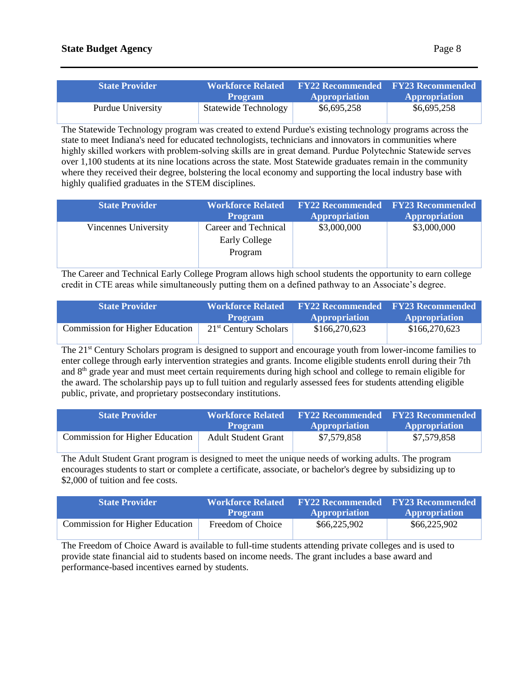| <b>State Provider</b> | <b>Workforce Related</b><br>' Program | <b>FY22 Recommended FY23 Recommended</b><br><b>Appropriation</b> | <b>Appropriation</b> |
|-----------------------|---------------------------------------|------------------------------------------------------------------|----------------------|
| Purdue University     | <b>Statewide Technology</b>           | \$6,695,258                                                      | \$6,695,258          |

The Statewide Technology program was created to extend Purdue's existing technology programs across the state to meet Indiana's need for educated technologists, technicians and innovators in communities where highly skilled workers with problem‐solving skills are in great demand. Purdue Polytechnic Statewide serves over 1,100 students at its nine locations across the state. Most Statewide graduates remain in the community where they received their degree, bolstering the local economy and supporting the local industry base with highly qualified graduates in the STEM disciplines.

| <b>State Provider</b> | <b>Workforce Related</b><br><b>Program</b>              | <b>FY22 Recommended FY23 Recommended</b><br><b>Appropriation</b> | <b>Appropriation</b> |
|-----------------------|---------------------------------------------------------|------------------------------------------------------------------|----------------------|
| Vincennes University  | Career and Technical<br><b>Early College</b><br>Program | \$3,000,000                                                      | \$3,000,000          |

The Career and Technical Early College Program allows high school students the opportunity to earn college credit in CTE areas while simultaneously putting them on a defined pathway to an Associate's degree.

| <b>State Provider</b>                  | <b>Workforce Related</b><br><b>Program</b> | <b>Appropriation</b> | <b>FY22 Recommended</b> FY23 Recommended<br><b>Appropriation</b> |
|----------------------------------------|--------------------------------------------|----------------------|------------------------------------------------------------------|
| <b>Commission for Higher Education</b> | $21st$ Century Scholars                    | \$166,270,623        | \$166,270,623                                                    |

The 21<sup>st</sup> Century Scholars program is designed to support and encourage youth from lower-income families to enter college through early intervention strategies and grants. Income eligible students enroll during their 7th and 8<sup>th</sup> grade year and must meet certain requirements during high school and college to remain eligible for the award. The scholarship pays up to full tuition and regularly assessed fees for students attending eligible public, private, and proprietary postsecondary institutions.

| <b>State Provider</b>                  | <b>Workforce Related</b><br><b>Program</b> | <b>Appropriation</b> | <b>FY22 Recommended FY23 Recommended</b><br><b>Appropriation</b> |
|----------------------------------------|--------------------------------------------|----------------------|------------------------------------------------------------------|
| <b>Commission for Higher Education</b> | <b>Adult Student Grant</b>                 | \$7,579,858          | \$7,579,858                                                      |

The Adult Student Grant program is designed to meet the unique needs of working adults. The program encourages students to start or complete a certificate, associate, or bachelor's degree by subsidizing up to \$2,000 of tuition and fee costs.

| <b>State Provider</b>                  | <b>Workforce Related</b><br><b>Program</b> | <b>Appropriation</b> | <b>FY22 Recommended FY23 Recommended</b><br><b>Appropriation</b> |
|----------------------------------------|--------------------------------------------|----------------------|------------------------------------------------------------------|
| <b>Commission for Higher Education</b> | Freedom of Choice                          | \$66,225,902         | \$66,225,902                                                     |

The Freedom of Choice Award is available to full-time students attending private colleges and is used to provide state financial aid to students based on income needs. The grant includes a base award and performance-based incentives earned by students.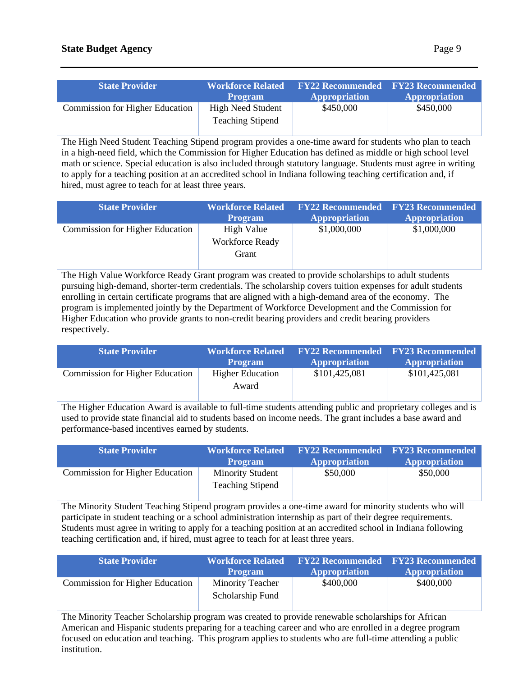The High Need Student Teaching Stipend program provides a one-time award for students who plan to teach in a high-need field, which the Commission for Higher Education has defined as middle or high school level math or science. Special education is also included through statutory language. Students must agree in writing to apply for a teaching position at an accredited school in Indiana following teaching certification and, if hired, must agree to teach for at least three years.

| <b>State Provider</b>                  | <b>Workforce Related</b><br><b>Program</b>    | <b>FY22 Recommended FY23 Recommended</b><br><b>Appropriation</b> | <b>Appropriation</b> |
|----------------------------------------|-----------------------------------------------|------------------------------------------------------------------|----------------------|
| <b>Commission for Higher Education</b> | High Value<br><b>Workforce Ready</b><br>Grant | \$1,000,000                                                      | \$1,000,000          |
|                                        |                                               |                                                                  |                      |

The High Value Workforce Ready Grant program was created to provide scholarships to adult students pursuing high-demand, shorter-term credentials. The scholarship covers tuition expenses for adult students enrolling in certain certificate programs that are aligned with a high-demand area of the economy. The program is implemented jointly by the Department of Workforce Development and the Commission for Higher Education who provide grants to non-credit bearing providers and credit bearing providers respectively.

| <b>State Provider</b>                  | <b>Workforce Related</b><br><b>Program</b> | <b>FY22 Recommended</b> FY23 Recommended<br><b>Appropriation</b> | <b>Appropriation</b> |
|----------------------------------------|--------------------------------------------|------------------------------------------------------------------|----------------------|
| <b>Commission for Higher Education</b> | <b>Higher Education</b><br>Award           | \$101,425,081                                                    | \$101,425,081        |

The Higher Education Award is available to full-time students attending public and proprietary colleges and is used to provide state financial aid to students based on income needs. The grant includes a base award and performance-based incentives earned by students.

| <b>State Provider</b>                  | <b>Workforce Related</b><br><b>Program</b>         | <b>Appropriation</b> | <b>FY22 Recommended FY23 Recommended</b><br><b>Appropriation</b> |
|----------------------------------------|----------------------------------------------------|----------------------|------------------------------------------------------------------|
| <b>Commission for Higher Education</b> | <b>Minority Student</b><br><b>Teaching Stipend</b> | \$50,000             | \$50,000                                                         |

The Minority Student Teaching Stipend program provides a one-time award for minority students who will participate in student teaching or a school administration internship as part of their degree requirements. Students must agree in writing to apply for a teaching position at an accredited school in Indiana following teaching certification and, if hired, must agree to teach for at least three years.

| <b>State Provider</b>                  | <b>Workforce Related</b><br><b>Program</b>  | <b>Appropriation</b> | <b>FY22 Recommended</b> FY23 Recommended<br><b>Appropriation</b> |
|----------------------------------------|---------------------------------------------|----------------------|------------------------------------------------------------------|
| <b>Commission for Higher Education</b> | <b>Minority Teacher</b><br>Scholarship Fund | \$400,000            | \$400,000                                                        |

The Minority Teacher Scholarship program was created to provide renewable scholarships for African American and Hispanic students preparing for a teaching career and who are enrolled in a degree program focused on education and teaching. This program applies to students who are full-time attending a public institution.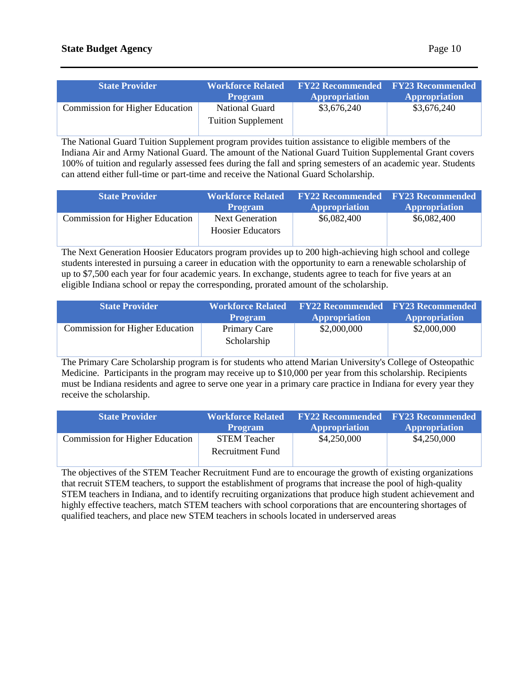| <b>State Provider</b>                  | <b>Workforce Related</b><br><b>Program</b>  | <b>Appropriation</b> | <b>FY22 Recommended FY23 Recommended</b><br><b>Appropriation</b> |
|----------------------------------------|---------------------------------------------|----------------------|------------------------------------------------------------------|
| <b>Commission for Higher Education</b> | National Guard<br><b>Tuition Supplement</b> | \$3,676,240          | \$3,676,240                                                      |

The National Guard Tuition Supplement program provides tuition assistance to eligible members of the Indiana Air and Army National Guard. The amount of the National Guard Tuition Supplemental Grant covers 100% of tuition and regularly assessed fees during the fall and spring semesters of an academic year. Students can attend either full-time or part-time and receive the National Guard Scholarship.

| <b>State Provider</b>                  | <b>Workforce Related</b><br><b>Program</b>         | <b>Appropriation</b> | <b>FY22 Recommended</b> FY23 Recommended<br><b>Appropriation</b> |
|----------------------------------------|----------------------------------------------------|----------------------|------------------------------------------------------------------|
| <b>Commission for Higher Education</b> | <b>Next Generation</b><br><b>Hoosier Educators</b> | \$6,082,400          | \$6,082,400                                                      |

The Next Generation Hoosier Educators program provides up to 200 high-achieving high school and college students interested in pursuing a career in education with the opportunity to earn a renewable scholarship of up to \$7,500 each year for four academic years. In exchange, students agree to teach for five years at an eligible Indiana school or repay the corresponding, prorated amount of the scholarship.

| <b>State Provider</b>                  | <b>Workforce Related</b><br><b>Program</b> | <b>Appropriation</b> | <b>FY22 Recommended FY23 Recommended</b><br><b>Appropriation</b> |
|----------------------------------------|--------------------------------------------|----------------------|------------------------------------------------------------------|
| <b>Commission for Higher Education</b> | Primary Care<br>Scholarship                | \$2,000,000          | \$2,000,000                                                      |

The Primary Care Scholarship program is for students who attend Marian University's College of Osteopathic Medicine. Participants in the program may receive up to \$10,000 per year from this scholarship. Recipients must be Indiana residents and agree to serve one year in a primary care practice in Indiana for every year they receive the scholarship.

| <b>State Provider</b>                  | <b>Workforce Related</b><br><b>Program</b> | <b>FY22 Recommended</b> FY23 Recommended<br><b>Appropriation</b> | <b>Appropriation</b> |
|----------------------------------------|--------------------------------------------|------------------------------------------------------------------|----------------------|
| <b>Commission for Higher Education</b> | <b>STEM Teacher</b>                        | \$4,250,000                                                      | \$4,250,000          |
|                                        | Recruitment Fund                           |                                                                  |                      |

The objectives of the STEM Teacher Recruitment Fund are to encourage the growth of existing organizations that recruit STEM teachers, to support the establishment of programs that increase the pool of high-quality STEM teachers in Indiana, and to identify recruiting organizations that produce high student achievement and highly effective teachers, match STEM teachers with school corporations that are encountering shortages of qualified teachers, and place new STEM teachers in schools located in underserved areas